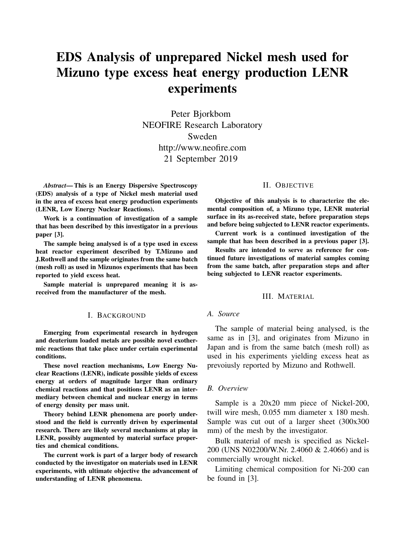# EDS Analysis of unprepared Nickel mesh used for Mizuno type excess heat energy production LENR experiments

Peter Bjorkbom NEOFIRE Research Laboratory Sweden http://www.neofire.com 21 September 2019

*Abstract*— This is an Energy Dispersive Spectroscopy (EDS) analysis of a type of Nickel mesh material used in the area of excess heat energy production experiments (LENR, Low Energy Nuclear Reactions).

Work is a continuation of investigation of a sample that has been described by this investigator in a previous paper [3].

The sample being analysed is of a type used in excess heat reactor experiment described by T.Mizuno and J.Rothwell and the sample originates from the same batch (mesh roll) as used in Mizunos experiments that has been reported to yield excess heat.

Sample material is unprepared meaning it is asreceived from the manufacturer of the mesh.

#### I. BACKGROUND

Emerging from experimental research in hydrogen and deuterium loaded metals are possible novel exothermic reactions that take place under certain experimental conditions.

These novel reaction mechanisms, Low Energy Nuclear Reactions (LENR), indicate possible yields of excess energy at orders of magnitude larger than ordinary chemical reactions and that positions LENR as an intermediary between chemical and nuclear energy in terms of energy density per mass unit.

Theory behind LENR phenomena are poorly understood and the field is currently driven by experimental research. There are likely several mechanisms at play in LENR, possibly augmented by material surface properties and chemical conditions.

The current work is part of a larger body of research conducted by the investigator on materials used in LENR experiments, with ultimate objective the advancement of understanding of LENR phenomena.

# II. OBJECTIVE

Objective of this analysis is to characterize the elemental composition of, a Mizuno type, LENR material surface in its as-received state, before preparation steps and before being subjected to LENR reactor experiments.

Current work is a continued investigation of the sample that has been described in a previous paper [3].

Results are intended to serve as reference for continued future investigations of material samples coming from the same batch, after preparation steps and after being subjected to LENR reactor experiments.

#### III. MATERIAL

## *A. Source*

The sample of material being analysed, is the same as in [3], and originates from Mizuno in Japan and is from the same batch (mesh roll) as used in his experiments yielding excess heat as prevoiusly reported by Mizuno and Rothwell.

#### *B. Overview*

Sample is a 20x20 mm piece of Nickel-200, twill wire mesh, 0.055 mm diameter x 180 mesh. Sample was cut out of a larger sheet (300x300 mm) of the mesh by the investigator.

Bulk material of mesh is specified as Nickel-200 (UNS N02200/W.Nr. 2.4060 & 2.4066) and is commercially wrought nickel.

Limiting chemical composition for Ni-200 can be found in [3].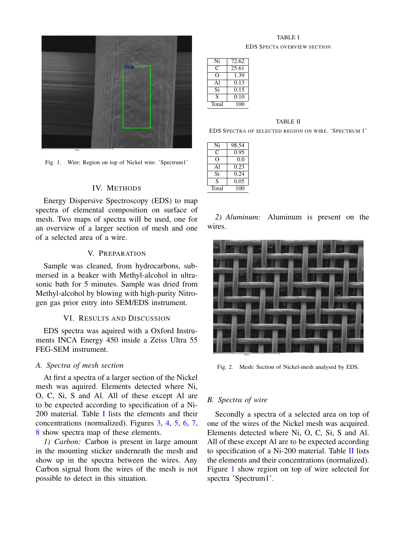

Fig. 1. Wire: Region on top of Nickel wire. 'Spectrum1'

# <span id="page-1-2"></span>IV. METHODS

Energy Dispersive Spectroscopy (EDS) to map spectra of elemental composition on surface of mesh. Two maps of spectra will be used, one for an overview of a larger section of mesh and one of a selected area of a wire.

# V. PREPARATION

Sample was cleaned, from hydrocarbons, submersed in a beaker with Methyl-alcohol in ultrasonic bath for 5 minutes. Sample was dried from Methyl-alcohol by blowing with high-purity Nitrogen gas prior entry into SEM/EDS instrument.

# VI. RESULTS AND DISCUSSION

EDS spectra was aquired with a Oxford Instruments INCA Energy 450 inside a Zeiss Ultra 55 FEG-SEM instrument.

# *A. Spectra of mesh section*

At first a spectra of a larger section of the Nickel mesh was aquired. Elements detected where Ni, O, C, Si, S and Al. All of these except Al are to be expected according to specification of a Ni-200 material. Table [I](#page-1-0) lists the elements and their concentrations (normalized). Figures [3,](#page-2-0) [4,](#page-2-1) [5,](#page-2-2) [6,](#page-2-3) [7,](#page-3-0) [8](#page-3-1) show spectra map of these elements.

*1) Carbon:* Carbon is present in large amount in the mounting sticker underneath the mesh and show up in the spectra between the wires. Any Carbon signal from the wires of the mesh is not possible to detect in this situation.

## TABLE I EDS SPECTA OVERVIEW SECTION

<span id="page-1-0"></span>

| Ni    | 72.62 |
|-------|-------|
| ∩     | 25.61 |
|       | 1.39  |
| Αl    | 0.13  |
| Si    | 0.15  |
| S     | 0.10  |
| Total | 100   |

#### TABLE II

<span id="page-1-1"></span>EDS SPECTRA OF SELECTED REGION ON WIRE. 'SPECTRUM 1'

| Ni    | 98.54 |
|-------|-------|
| C     | 0.95  |
|       | 0.0   |
| Αl    | 0.23  |
| Si    | 0.24  |
| S     | 0.05  |
| Total | 100   |

*2) Aluminum:* Aluminum is present on the wires.



Fig. 2. Mesh: Section of Nickel-mesh analysed by EDS.

#### *B. Spectra of wire*

Secondly a spectra of a selected area on top of one of the wires of the Nickel mesh was acquired. Elements detected where Ni, O, C, Si, S and Al. All of these except Al are to be expected according to specification of a Ni-200 material. Table [II](#page-1-1) lists the elements and their concentrations (normalized). Figure [1](#page-1-2) show region on top of wire selected for spectra 'Spectrum1'.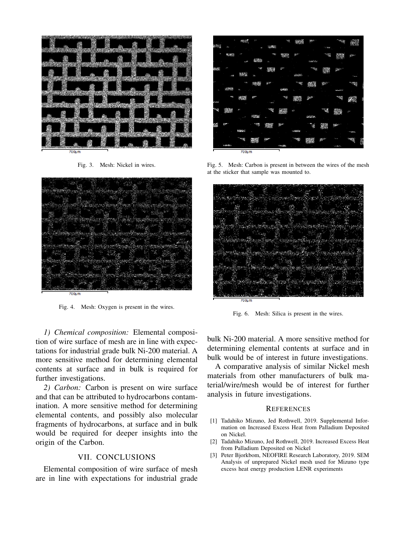

<span id="page-2-0"></span>Fig. 3. Mesh: Nickel in wires.



Fig. 4. Mesh: Oxygen is present in the wires.

<span id="page-2-1"></span>*1) Chemical composition:* Elemental composition of wire surface of mesh are in line with expectations for industrial grade bulk Ni-200 material. A more sensitive method for determining elemental contents at surface and in bulk is required for further investigations.

*2) Carbon:* Carbon is present on wire surface and that can be attributed to hydrocarbons contamination. A more sensitive method for determining elemental contents, and possibly also molecular fragments of hydrocarbons, at surface and in bulk would be required for deeper insights into the origin of the Carbon.

# VII. CONCLUSIONS

Elemental composition of wire surface of mesh are in line with expectations for industrial grade

|               |              | 4005           |             |              | 200   |            |              |                |                   |              |      |
|---------------|--------------|----------------|-------------|--------------|-------|------------|--------------|----------------|-------------------|--------------|------|
| 幽             | a.           |                |             | 10702        |       |            |              | <b>COMPANY</b> |                   |              |      |
|               | <b>CENTS</b> |                |             | <b>START</b> |       | m.         |              |                |                   | ijo -        |      |
|               |              |                | 綿接          | à.           |       |            | <b>SOUTH</b> |                |                   |              |      |
| 20            |              |                | <b>Page</b> | 郷            |       |            |              |                | Hz.               |              |      |
|               |              | an.            | Ñ.          |              |       | 100203     |              |                |                   | - -          |      |
|               |              | 779            |             | a in         |       | <b>Bry</b> |              |                |                   | <b>PEE O</b> |      |
|               | parties      |                |             |              | 10000 |            |              |                | <b>Statistics</b> |              |      |
|               | œ            | 1800           |             |              |       |            | <b>SEPT</b>  |                | <b>Children</b>   |              | i    |
| <b>Separa</b> |              |                |             |              |       |            |              |                |                   |              |      |
| w             | 85           |                |             |              | 58    |            |              |                |                   |              |      |
|               |              |                | 20120       |              |       |            | 100000       |                |                   |              |      |
|               |              |                | rege        | X)           | gyar  |            |              |                |                   |              |      |
|               |              | <b>SERVICE</b> |             |              |       | within     |              |                |                   |              |      |
|               |              | <b>Page</b>    |             |              |       |            |              |                |                   |              | ses. |
|               | 12040        |                |             |              |       |            |              |                | <b>AGENT</b>      |              |      |
|               |              | 700um          |             |              |       |            |              |                |                   |              |      |

<span id="page-2-2"></span>Fig. 5. Mesh: Carbon is present in between the wires of the mesh at the sticker that sample was mounted to.



Fig. 6. Mesh: Silica is present in the wires.

<span id="page-2-3"></span>bulk Ni-200 material. A more sensitive method for determining elemental contents at surface and in bulk would be of interest in future investigations.

A comparative analysis of similar Nickel mesh materials from other manufacturers of bulk material/wire/mesh would be of interest for further analysis in future investigations.

### **REFERENCES**

- [1] Tadahiko Mizuno, Jed Rothwell, 2019. Supplemental Information on Increased Excess Heat from Palladium Deposited on Nickel.
- [2] Tadahiko Mizuno, Jed Rothwell, 2019. Increased Excess Heat from Palladium Deposited on Nickel
- [3] Peter Bjorkbom, NEOFIRE Research Laboratory, 2019. SEM Analysis of unprepared Nickel mesh used for Mizuno type excess heat energy production LENR experiments